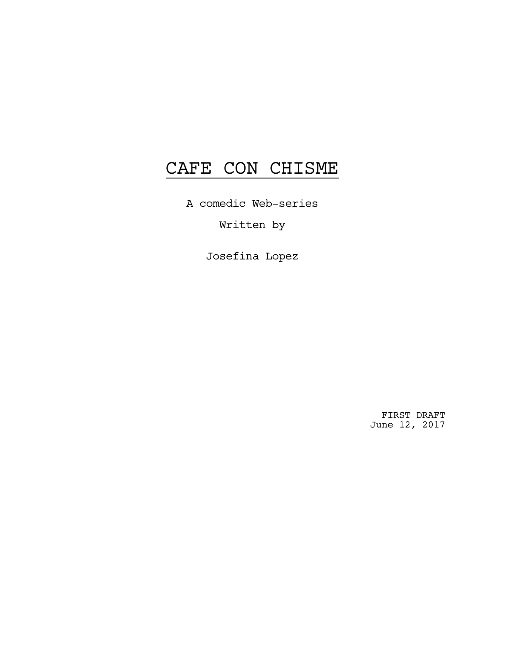# CAFE CON CHISME

A comedic Web-series

Written by

Josefina Lopez

FIRST DRAFT June 12, 2017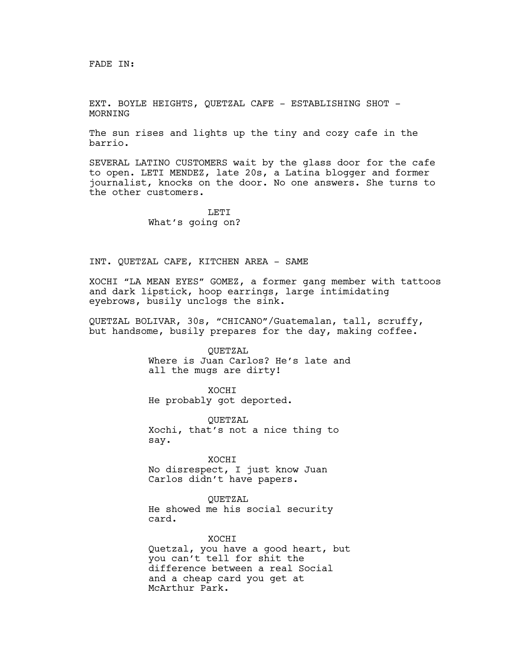FADE IN:

EXT. BOYLE HEIGHTS, QUETZAL CAFE - ESTABLISHING SHOT -MORNING

The sun rises and lights up the tiny and cozy cafe in the barrio.

SEVERAL LATINO CUSTOMERS wait by the glass door for the cafe to open. LETI MENDEZ, late 20s, a Latina blogger and former journalist, knocks on the door. No one answers. She turns to the other customers.

> **LETT** What's going on?

## INT. QUETZAL CAFE, KITCHEN AREA - SAME

XOCHI "LA MEAN EYES" GOMEZ, a former gang member with tattoos and dark lipstick, hoop earrings, large intimidating eyebrows, busily unclogs the sink.

QUETZAL BOLIVAR, 30s, "CHICANO"/Guatemalan, tall, scruffy, but handsome, busily prepares for the day, making coffee.

> QUETZAL Where is Juan Carlos? He's late and all the mugs are dirty!

XOCHI He probably got deported.

QUETZAL Xochi, that's not a nice thing to say.

XOCHI No disrespect, I just know Juan Carlos didn't have papers.

QUETZAL

McArthur Park.

He showed me his social security card.

XOCHI Quetzal, you have a good heart, but you can't tell for shit the difference between a real Social and a cheap card you get at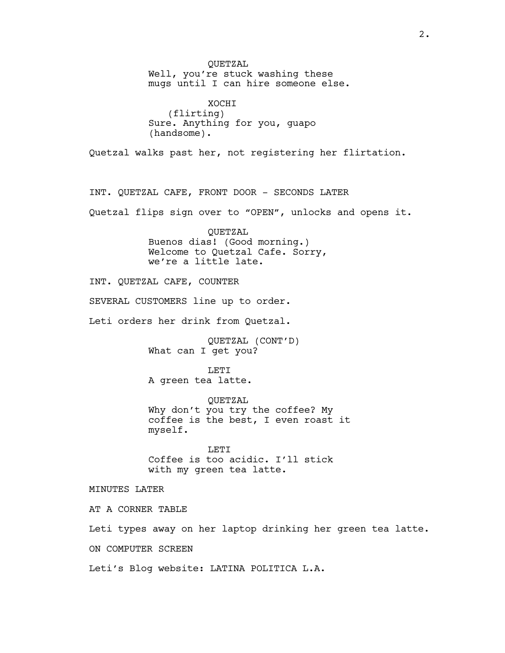QUETZAL Well, you're stuck washing these mugs until I can hire someone else. XOCHI (flirting) Sure. Anything for you, guapo (handsome). Quetzal walks past her, not registering her flirtation. INT. QUETZAL CAFE, FRONT DOOR - SECONDS LATER Quetzal flips sign over to "OPEN", unlocks and opens it. QUETZAL Buenos dias! (Good morning.) Welcome to Quetzal Cafe. Sorry, we're a little late. INT. QUETZAL CAFE, COUNTER SEVERAL CUSTOMERS line up to order. Leti orders her drink from Quetzal. QUETZAL (CONT'D) What can I get you? **LETT** A green tea latte. QUETZAL Why don't you try the coffee? My coffee is the best, I even roast it myself. **LETT** Coffee is too acidic. I'll stick with my green tea latte. MINUTES LATER AT A CORNER TABLE Leti types away on her laptop drinking her green tea latte. ON COMPUTER SCREEN Leti's Blog website: LATINA POLITICA L.A.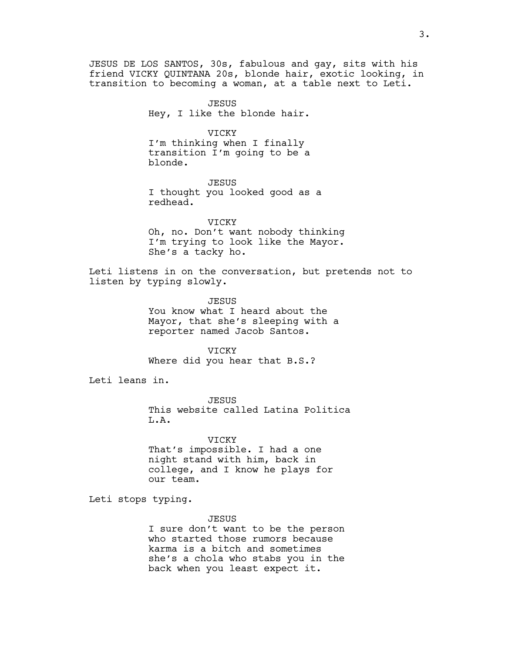JESUS DE LOS SANTOS, 30s, fabulous and gay, sits with his friend VICKY QUINTANA 20s, blonde hair, exotic looking, in transition to becoming a woman, at a table next to Leti.

> JESUS Hey, I like the blonde hair.

> > VICKY

I'm thinking when I finally transition I'm going to be a blonde.

JESUS I thought you looked good as a redhead.

VICKY Oh, no. Don't want nobody thinking I'm trying to look like the Mayor. She's a tacky ho.

Leti listens in on the conversation, but pretends not to listen by typing slowly.

> **JESUS** You know what I heard about the Mayor, that she's sleeping with a reporter named Jacob Santos.

VICKY Where did you hear that B.S.?

Leti leans in.

JESUS This website called Latina Politica L.A.

VICKY That's impossible. I had a one night stand with him, back in college, and I know he plays for our team.

Leti stops typing.

JESUS

I sure don't want to be the person who started those rumors because karma is a bitch and sometimes she's a chola who stabs you in the back when you least expect it.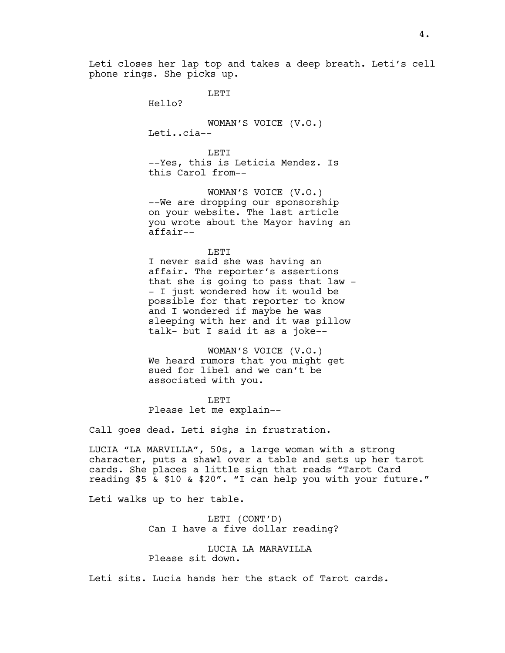LETI

Hello?

WOMAN'S VOICE (V.O.) Leti..cia--

T.ETT --Yes, this is Leticia Mendez. Is this Carol from--

WOMAN'S VOICE (V.O.) --We are dropping our sponsorship on your website. The last article you wrote about the Mayor having an affair--

LETI I never said she was having an affair. The reporter's assertions that she is going to pass that law - - I just wondered how it would be possible for that reporter to know and I wondered if maybe he was sleeping with her and it was pillow talk- but I said it as a joke--

WOMAN'S VOICE (V.O.) We heard rumors that you might get sued for libel and we can't be associated with you.

LETI Please let me explain--

Call goes dead. Leti sighs in frustration.

LUCIA "LA MARVILLA", 50s, a large woman with a strong character, puts a shawl over a table and sets up her tarot cards. She places a little sign that reads "Tarot Card reading \$5 & \$10 & \$20". "I can help you with your future."

Leti walks up to her table.

LETI (CONT'D) Can I have a five dollar reading?

LUCIA LA MARAVILLA Please sit down.

Leti sits. Lucia hands her the stack of Tarot cards.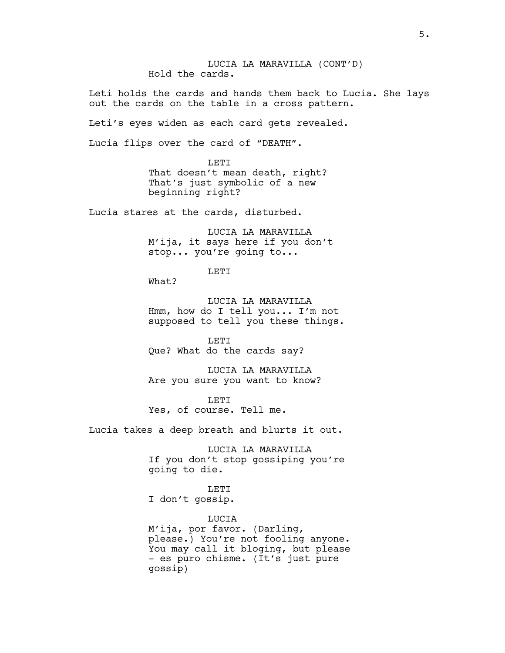LUCIA LA MARAVILLA (CONT'D) Hold the cards.

Leti holds the cards and hands them back to Lucia. She lays out the cards on the table in a cross pattern.

Leti's eyes widen as each card gets revealed.

Lucia flips over the card of "DEATH".

LETI That doesn't mean death, right? That's just symbolic of a new beginning right?

Lucia stares at the cards, disturbed.

LUCIA LA MARAVILLA M'ija, it says here if you don't stop... you're going to...

LETI

What?

LUCIA LA MARAVILLA Hmm, how do I tell you... I'm not supposed to tell you these things.

LETI Que? What do the cards say?

LUCIA LA MARAVILLA Are you sure you want to know?

LETI Yes, of course. Tell me.

Lucia takes a deep breath and blurts it out.

LUCIA LA MARAVILLA If you don't stop gossiping you're going to die.

LETI I don't gossip.

LUCIA M'ija, por favor. (Darling, please.) You're not fooling anyone. You may call it bloging, but please - es puro chisme. (It's just pure gossip)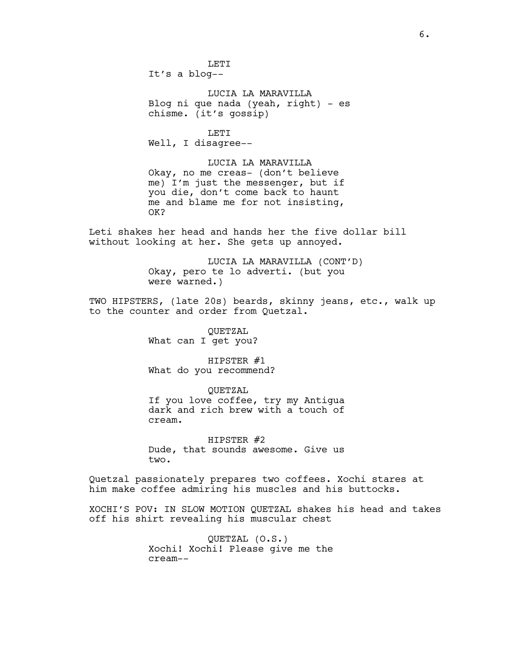**LETT** It's a blog--

LUCIA LA MARAVILLA Blog ni que nada (yeah, right) - es chisme. (it's gossip)

LETI Well, I disagree--

LUCIA LA MARAVILLA Okay, no me creas- (don't believe me) I'm just the messenger, but if you die, don't come back to haunt me and blame me for not insisting, OK?

Leti shakes her head and hands her the five dollar bill without looking at her. She gets up annoyed.

> LUCIA LA MARAVILLA (CONT'D) Okay, pero te lo adverti. (but you were warned.)

TWO HIPSTERS, (late 20s) beards, skinny jeans, etc., walk up to the counter and order from Quetzal.

> QUETZAL What can I get you?

HIPSTER #1 What do you recommend?

QUETZAL If you love coffee, try my Antigua dark and rich brew with a touch of cream.

HIPSTER #2 Dude, that sounds awesome. Give us two.

Quetzal passionately prepares two coffees. Xochi stares at him make coffee admiring his muscles and his buttocks.

XOCHI'S POV: IN SLOW MOTION QUETZAL shakes his head and takes off his shirt revealing his muscular chest

> QUETZAL (O.S.) Xochi! Xochi! Please give me the cream--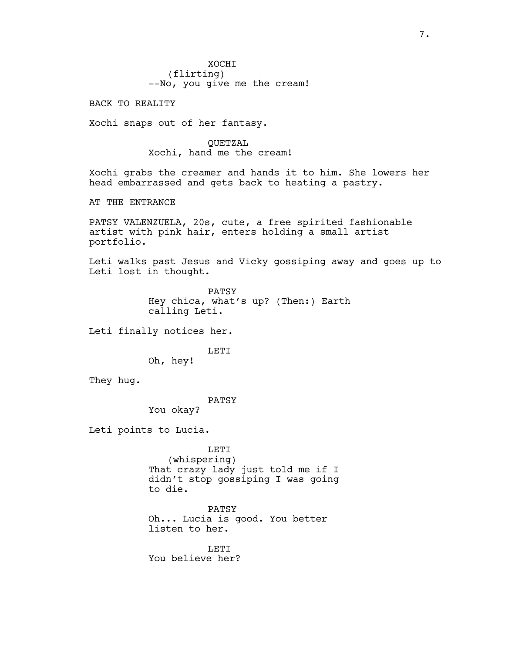**XOCHT** (flirting) --No, you give me the cream!

BACK TO REALITY

Xochi snaps out of her fantasy.

QUETZAL Xochi, hand me the cream!

Xochi grabs the creamer and hands it to him. She lowers her head embarrassed and gets back to heating a pastry.

AT THE ENTRANCE

PATSY VALENZUELA, 20s, cute, a free spirited fashionable artist with pink hair, enters holding a small artist portfolio.

Leti walks past Jesus and Vicky gossiping away and goes up to Leti lost in thought.

> PATSY Hey chica, what's up? (Then:) Earth calling Leti.

Leti finally notices her.

**LETT** 

Oh, hey!

They hug.

PATSY

You okay?

Leti points to Lucia.

LETI (whispering) That crazy lady just told me if I didn't stop gossiping I was going to die.

PATSY Oh... Lucia is good. You better listen to her.

**LETT** You believe her?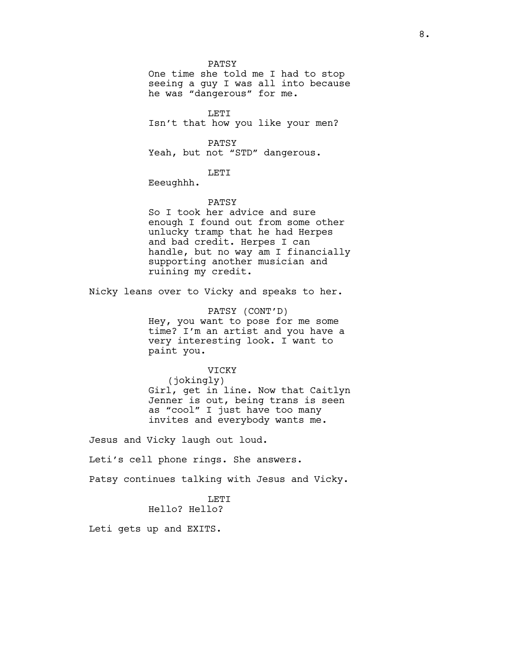PATSY

One time she told me I had to stop seeing a guy I was all into because he was "dangerous" for me.

LETI Isn't that how you like your men?

PATSY Yeah, but not "STD" dangerous.

LETI

Eeeughhh.

#### PATSY

So I took her advice and sure enough I found out from some other unlucky tramp that he had Herpes and bad credit. Herpes I can handle, but no way am I financially supporting another musician and ruining my credit.

Nicky leans over to Vicky and speaks to her.

PATSY (CONT'D) Hey, you want to pose for me some time? I'm an artist and you have a very interesting look. I want to paint you.

# VICKY

(jokingly) Girl, get in line. Now that Caitlyn Jenner is out, being trans is seen as "cool" I just have too many invites and everybody wants me.

Jesus and Vicky laugh out loud.

Leti's cell phone rings. She answers.

Patsy continues talking with Jesus and Vicky.

# LETI

Hello? Hello?

Leti gets up and EXITS.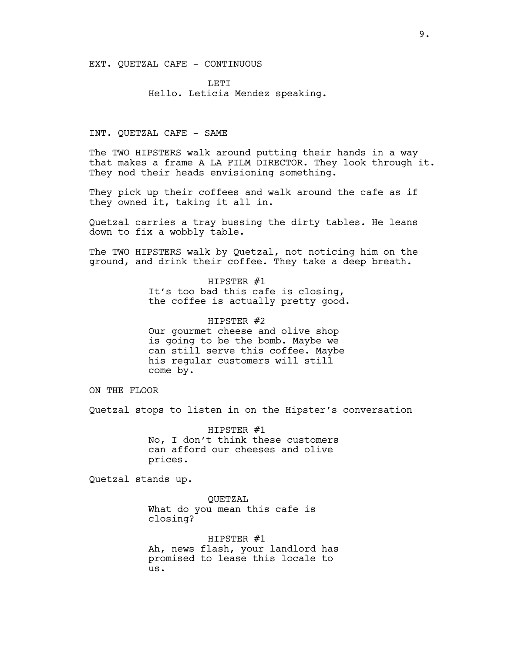EXT. QUETZAL CAFE - CONTINUOUS

**LETT** Hello. Leticia Mendez speaking.

INT. QUETZAL CAFE - SAME

The TWO HIPSTERS walk around putting their hands in a way that makes a frame A LA FILM DIRECTOR. They look through it. They nod their heads envisioning something.

They pick up their coffees and walk around the cafe as if they owned it, taking it all in.

Quetzal carries a tray bussing the dirty tables. He leans down to fix a wobbly table.

The TWO HIPSTERS walk by Quetzal, not noticing him on the ground, and drink their coffee. They take a deep breath.

> HIPSTER #1 It's too bad this cafe is closing, the coffee is actually pretty good.

HIPSTER #2 Our gourmet cheese and olive shop is going to be the bomb. Maybe we can still serve this coffee. Maybe his regular customers will still come by.

ON THE FLOOR

Quetzal stops to listen in on the Hipster's conversation

HIPSTER #1 No, I don't think these customers can afford our cheeses and olive prices.

Quetzal stands up.

QUETZAL What do you mean this cafe is closing?

HIPSTER #1 Ah, news flash, your landlord has promised to lease this locale to us.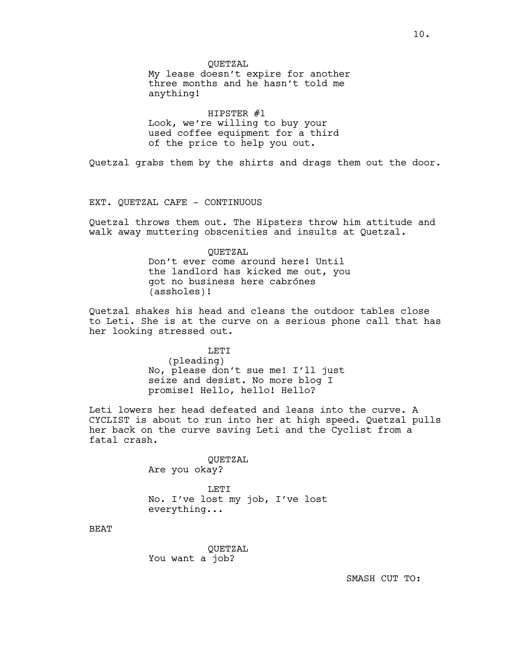HIPSTER #1 Look, we're willing to buy your used coffee equipment for a third of the price to help you out.

Quetzal grabs them by the shirts and drags them out the door.

EXT. QUETZAL CAFE - CONTINUOUS

Quetzal throws them out. The Hipsters throw him attitude and walk away muttering obscenities and insults at Quetzal.

> QUETZAL Don't ever come around here! Until the landlord has kicked me out, you got no business here cabrónes (assholes)!

Quetzal shakes his head and cleans the outdoor tables close to Leti. She is at the curve on a serious phone call that has her looking stressed out.

LETI

(pleading) No, please don't sue me! I'll just seize and desist. No more blog I promise! Hello, hello! Hello?

Leti lowers her head defeated and leans into the curve. A CYCLIST is about to run into her at high speed. Quetzal pulls her back on the curve saving Leti and the Cyclist from a fatal crash.

> QUETZAL Are you okay?

LETI No. I've lost my job, I've lost everything...

BEAT

QUETZAL You want a job?

SMASH CUT TO: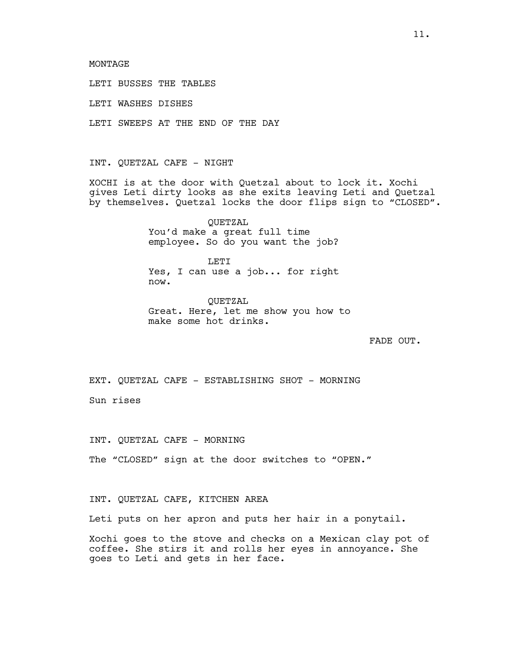LETI BUSSES THE TABLES

LETI WASHES DISHES

LETI SWEEPS AT THE END OF THE DAY

INT. QUETZAL CAFE - NIGHT

XOCHI is at the door with Quetzal about to lock it. Xochi gives Leti dirty looks as she exits leaving Leti and Quetzal by themselves. Quetzal locks the door flips sign to "CLOSED".

> QUETZAL You'd make a great full time employee. So do you want the job?

> T.ETT Yes, I can use a job... for right now.

QUETZAL Great. Here, let me show you how to make some hot drinks.

FADE OUT.

EXT. QUETZAL CAFE - ESTABLISHING SHOT - MORNING

Sun rises

INT. QUETZAL CAFE - MORNING

The "CLOSED" sign at the door switches to "OPEN."

INT. QUETZAL CAFE, KITCHEN AREA

Leti puts on her apron and puts her hair in a ponytail.

Xochi goes to the stove and checks on a Mexican clay pot of coffee. She stirs it and rolls her eyes in annoyance. She goes to Leti and gets in her face.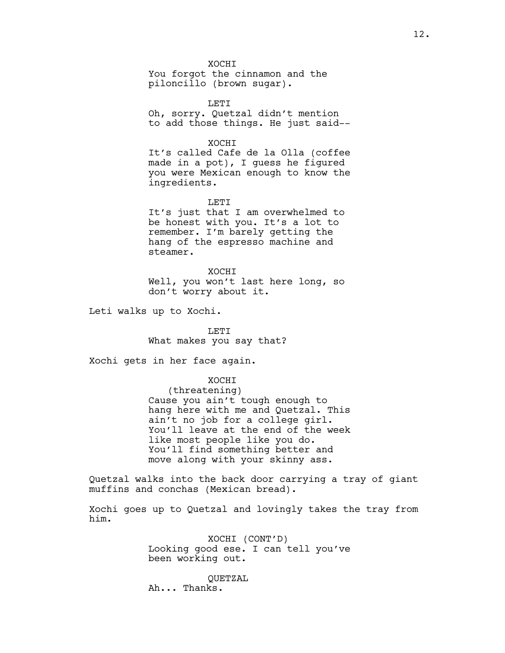**XOCHT** 

You forgot the cinnamon and the piloncillo (brown sugar).

LETI Oh, sorry. Quetzal didn't mention to add those things. He just said--

XOCHI

It's called Cafe de la Olla (coffee made in a pot), I guess he figured you were Mexican enough to know the ingredients.

LETI

It's just that I am overwhelmed to be honest with you. It's a lot to remember. I'm barely getting the hang of the espresso machine and steamer.

XOCHI Well, you won't last here long, so don't worry about it.

Leti walks up to Xochi.

LETI What makes you say that?

Xochi gets in her face again.

XOCHI (threatening) Cause you ain't tough enough to hang here with me and Quetzal. This ain't no job for a college girl. You'll leave at the end of the week like most people like you do. You'll find something better and move along with your skinny ass.

Quetzal walks into the back door carrying a tray of giant muffins and conchas (Mexican bread).

Xochi goes up to Quetzal and lovingly takes the tray from him.

> XOCHI (CONT'D) Looking good ese. I can tell you've been working out.

QUETZAL Ah... Thanks.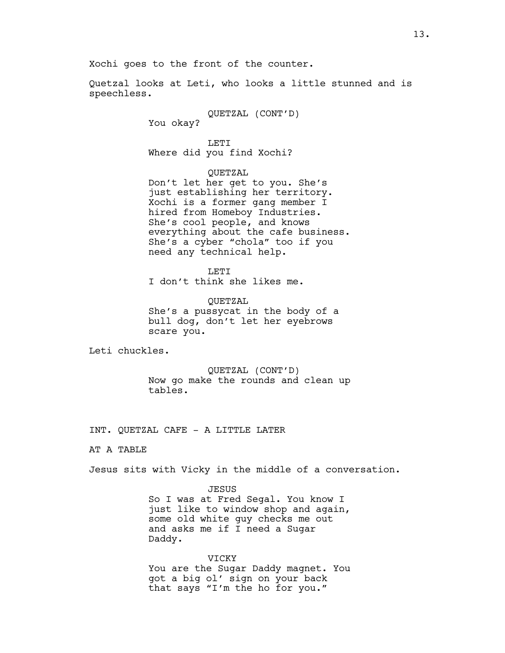Xochi goes to the front of the counter.

Quetzal looks at Leti, who looks a little stunned and is speechless.

> QUETZAL (CONT'D) You okay?

LETI Where did you find Xochi?

QUETZAL

Don't let her get to you. She's just establishing her territory. Xochi is a former gang member I hired from Homeboy Industries. She's cool people, and knows everything about the cafe business. She's a cyber "chola" too if you need any technical help.

LETI I don't think she likes me.

QUETZAL She's a pussycat in the body of a bull dog, don't let her eyebrows scare you.

Leti chuckles.

QUETZAL (CONT'D) Now go make the rounds and clean up tables.

INT. QUETZAL CAFE - A LITTLE LATER

AT A TABLE

Jesus sits with Vicky in the middle of a conversation.

JESUS

So I was at Fred Segal. You know I just like to window shop and again, some old white guy checks me out and asks me if I need a Sugar Daddy.

#### VICKY

You are the Sugar Daddy magnet. You got a big ol' sign on your back that says "I'm the ho for you."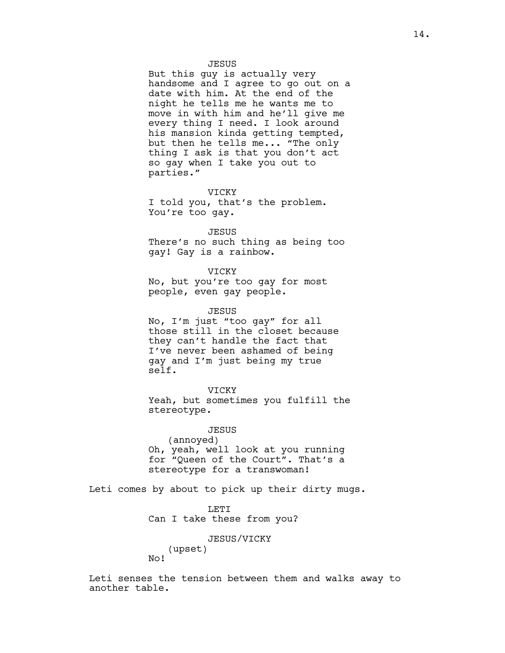## JESUS

But this guy is actually very handsome and I agree to go out on a date with him. At the end of the night he tells me he wants me to move in with him and he'll give me every thing I need. I look around his mansion kinda getting tempted, but then he tells me... "The only thing I ask is that you don't act so gay when I take you out to parties."

### VICKY

I told you, that's the problem. You're too gay.

#### JESUS

There's no such thing as being too gay! Gay is a rainbow.

#### VICKY

No, but you're too gay for most people, even gay people.

#### JESUS

No, I'm just "too gay" for all those still in the closet because they can't handle the fact that I've never been ashamed of being gay and I'm just being my true self.

### VICKY

Yeah, but sometimes you fulfill the stereotype.

## JESUS

(annoyed) Oh, yeah, well look at you running for "Queen of the Court". That's a stereotype for a transwoman!

Leti comes by about to pick up their dirty mugs.

LETI Can I take these from you?

## JESUS/VICKY

(upset) No!

Leti senses the tension between them and walks away to another table.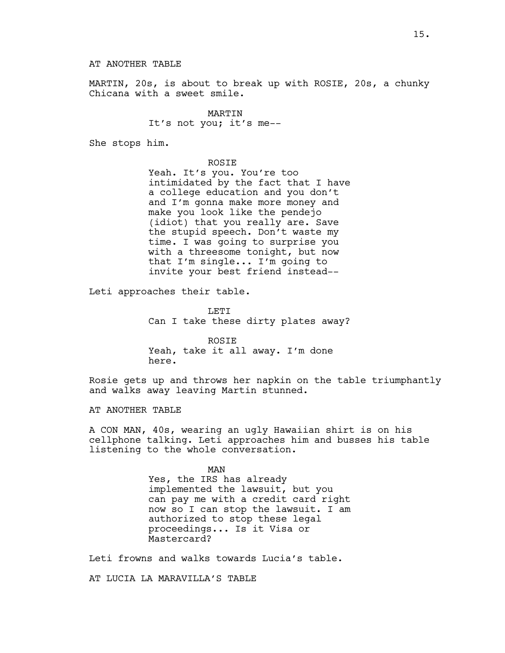MARTIN, 20s, is about to break up with ROSIE, 20s, a chunky Chicana with a sweet smile.

> MARTIN It's not you; it's me--

She stops him.

ROSIE

Yeah. It's you. You're too intimidated by the fact that I have a college education and you don't and I'm gonna make more money and make you look like the pendejo (idiot) that you really are. Save the stupid speech. Don't waste my time. I was going to surprise you with a threesome tonight, but now that I'm single... I'm going to invite your best friend instead--

Leti approaches their table.

LETI Can I take these dirty plates away?

ROSIE Yeah, take it all away. I'm done here.

Rosie gets up and throws her napkin on the table triumphantly and walks away leaving Martin stunned.

AT ANOTHER TABLE

A CON MAN, 40s, wearing an ugly Hawaiian shirt is on his cellphone talking. Leti approaches him and busses his table listening to the whole conversation.

> MAN Yes, the IRS has already implemented the lawsuit, but you can pay me with a credit card right now so I can stop the lawsuit. I am authorized to stop these legal proceedings... Is it Visa or Mastercard?

Leti frowns and walks towards Lucia's table.

AT LUCIA LA MARAVILLA'S TABLE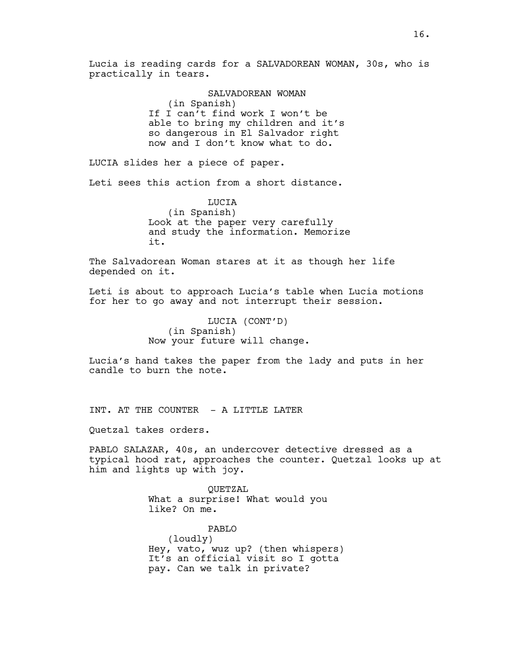Lucia is reading cards for a SALVADOREAN WOMAN, 30s, who is practically in tears.

> SALVADOREAN WOMAN (in Spanish) If I can't find work I won't be able to bring my children and it's so dangerous in El Salvador right now and I don't know what to do.

LUCIA slides her a piece of paper.

Leti sees this action from a short distance.

LUCIA (in Spanish) Look at the paper very carefully and study the information. Memorize it.

The Salvadorean Woman stares at it as though her life depended on it.

Leti is about to approach Lucia's table when Lucia motions for her to go away and not interrupt their session.

> LUCIA (CONT'D) (in Spanish) Now your future will change.

Lucia's hand takes the paper from the lady and puts in her candle to burn the note.

INT. AT THE COUNTER - A LITTLE LATER

Quetzal takes orders.

PABLO SALAZAR, 40s, an undercover detective dressed as a typical hood rat, approaches the counter. Quetzal looks up at him and lights up with joy.

> QUETZAL What a surprise! What would you like? On me.

PABLO (loudly) Hey, vato, wuz up? (then whispers) It's an official visit so I gotta pay. Can we talk in private?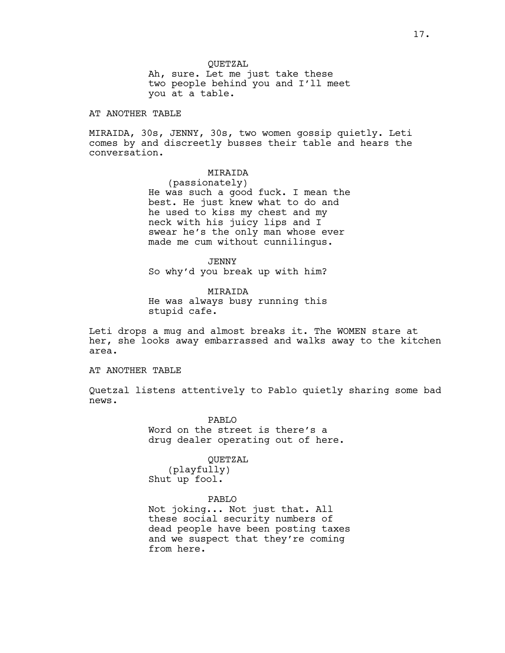AT ANOTHER TABLE

MIRAIDA, 30s, JENNY, 30s, two women gossip quietly. Leti comes by and discreetly busses their table and hears the conversation.

# MIRAIDA

(passionately) He was such a good fuck. I mean the best. He just knew what to do and he used to kiss my chest and my neck with his juicy lips and I swear he's the only man whose ever made me cum without cunnilingus.

JENNY So why'd you break up with him?

MIRAIDA He was always busy running this stupid cafe.

Leti drops a mug and almost breaks it. The WOMEN stare at her, she looks away embarrassed and walks away to the kitchen area.

AT ANOTHER TABLE

Quetzal listens attentively to Pablo quietly sharing some bad news.

> PABLO Word on the street is there's a drug dealer operating out of here.

> > QUETZAL

(playfully) Shut up fool.

# PABLO

Not joking... Not just that. All these social security numbers of dead people have been posting taxes and we suspect that they're coming from here.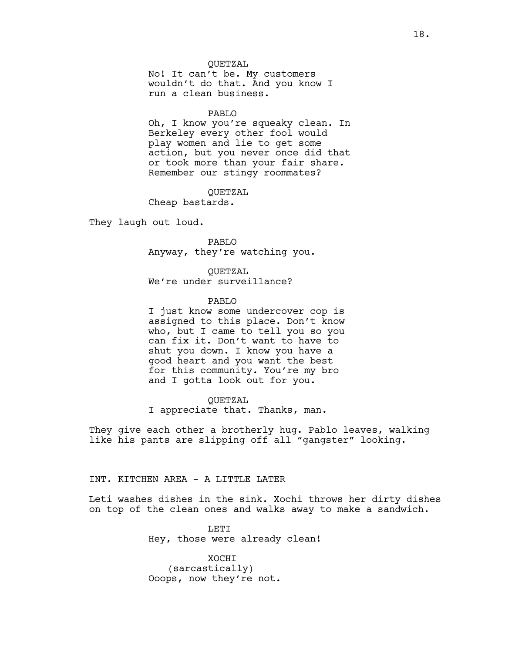## QUETZAL

No! It can't be. My customers wouldn't do that. And you know I run a clean business.

## PABLO

Oh, I know you're squeaky clean. In Berkeley every other fool would play women and lie to get some action, but you never once did that or took more than your fair share. Remember our stingy roommates?

QUETZAL Cheap bastards.

They laugh out loud.

PABLO Anyway, they're watching you.

QUETZAL We're under surveillance?

PABLO

I just know some undercover cop is assigned to this place. Don't know who, but I came to tell you so you can fix it. Don't want to have to shut you down. I know you have a good heart and you want the best for this community. You're my bro and I gotta look out for you.

QUETZAL

I appreciate that. Thanks, man.

They give each other a brotherly hug. Pablo leaves, walking like his pants are slipping off all "gangster" looking.

# INT. KITCHEN AREA - A LITTLE LATER

Leti washes dishes in the sink. Xochi throws her dirty dishes on top of the clean ones and walks away to make a sandwich.

> LETI Hey, those were already clean!

XOCHI (sarcastically) Ooops, now they're not.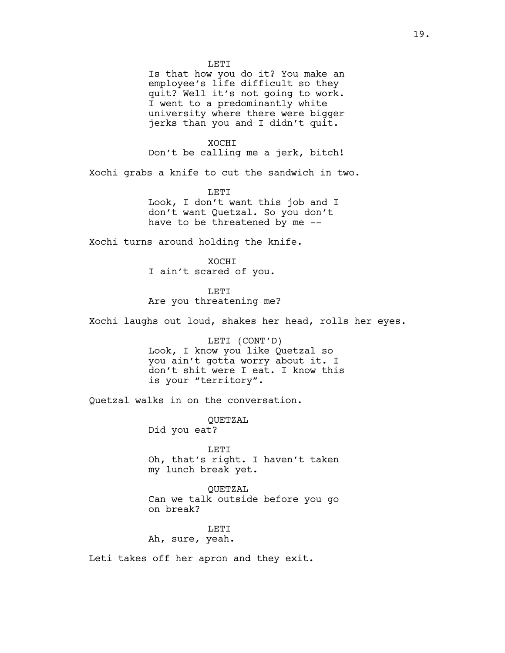**LETT** Is that how you do it? You make an employee's life difficult so they quit? Well it's not going to work. I went to a predominantly white university where there were bigger jerks than you and I didn't quit. XOCHI Don't be calling me a jerk, bitch! Xochi grabs a knife to cut the sandwich in two. **LETT** Look, I don't want this job and I don't want Quetzal. So you don't have to be threatened by me -- Xochi turns around holding the knife. **XOCHT** I ain't scared of you. LETI Are you threatening me? Xochi laughs out loud, shakes her head, rolls her eyes. LETI (CONT'D) Look, I know you like Quetzal so you ain't gotta worry about it. I don't shit were I eat. I know this is your "territory". Quetzal walks in on the conversation. QUETZAL Did you eat? LETI Oh, that's right. I haven't taken my lunch break yet. QUETZAL Can we talk outside before you go on break?

LETI Ah, sure, yeah.

Leti takes off her apron and they exit.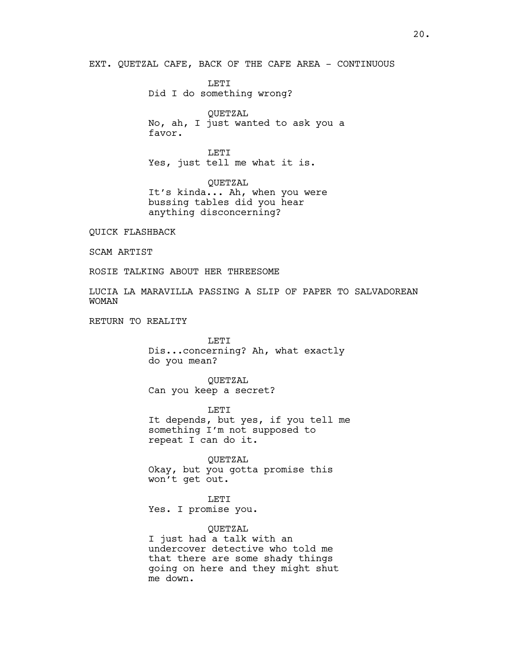EXT. QUETZAL CAFE, BACK OF THE CAFE AREA - CONTINUOUS

LETI Did I do something wrong?

QUETZAL No, ah, I just wanted to ask you a favor.

**LETT** Yes, just tell me what it is.

QUETZAL It's kinda... Ah, when you were bussing tables did you hear anything disconcerning?

QUICK FLASHBACK

SCAM ARTIST

ROSIE TALKING ABOUT HER THREESOME

LUCIA LA MARAVILLA PASSING A SLIP OF PAPER TO SALVADOREAN WOMAN

RETURN TO REALITY

LETI Dis...concerning? Ah, what exactly do you mean?

QUETZAL Can you keep a secret?

LETI It depends, but yes, if you tell me something I'm not supposed to repeat I can do it.

QUETZAL Okay, but you gotta promise this won't get out.

LETI Yes. I promise you.

QUETZAL I just had a talk with an undercover detective who told me that there are some shady things going on here and they might shut me down.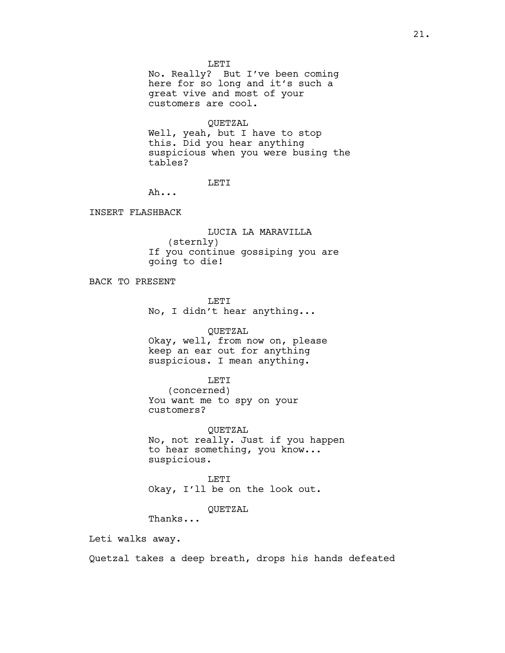LETI

No. Really? But I've been coming here for so long and it's such a great vive and most of your customers are cool.

QUETZAL

Well, yeah, but I have to stop this. Did you hear anything suspicious when you were busing the tables?

LETI

Ah...

INSERT FLASHBACK

LUCIA LA MARAVILLA (sternly) If you continue gossiping you are going to die!

BACK TO PRESENT

**LETT** No, I didn't hear anything...

# QUETZAL

Okay, well, from now on, please keep an ear out for anything suspicious. I mean anything.

### LETI

(concerned) You want me to spy on your customers?

QUETZAL No, not really. Just if you happen to hear something, you know... suspicious.

LETI Okay, I'll be on the look out.

# QUETZAL

Thanks...

Leti walks away.

Quetzal takes a deep breath, drops his hands defeated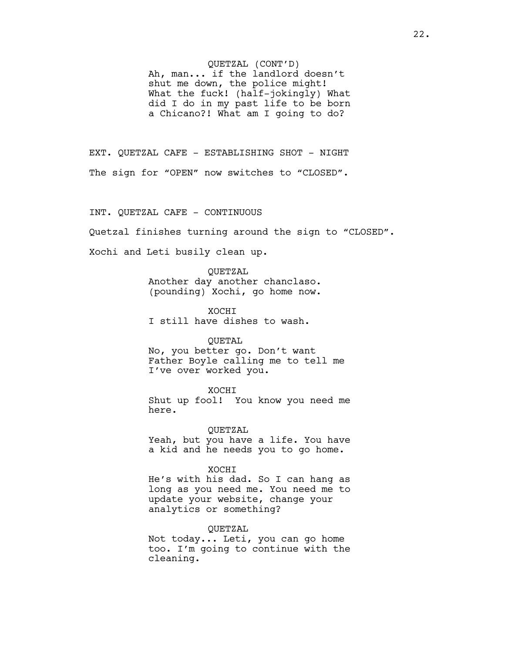## QUETZAL (CONT'D)

Ah, man... if the landlord doesn't shut me down, the police might! What the fuck! (half-jokingly) What did I do in my past life to be born a Chicano?! What am I going to do?

EXT. QUETZAL CAFE - ESTABLISHING SHOT - NIGHT The sign for "OPEN" now switches to "CLOSED".

## INT. QUETZAL CAFE - CONTINUOUS

Quetzal finishes turning around the sign to "CLOSED".

Xochi and Leti busily clean up.

QUETZAL Another day another chanclaso. (pounding) Xochi, go home now.

XOCHI I still have dishes to wash.

#### QUETAL

No, you better go. Don't want Father Boyle calling me to tell me I've over worked you.

XOCHI Shut up fool! You know you need me here.

QUETZAL Yeah, but you have a life. You have a kid and he needs you to go home.

#### XOCHI

He's with his dad. So I can hang as long as you need me. You need me to update your website, change your analytics or something?

## QUETZAL

Not today... Leti, you can go home too. I'm going to continue with the cleaning.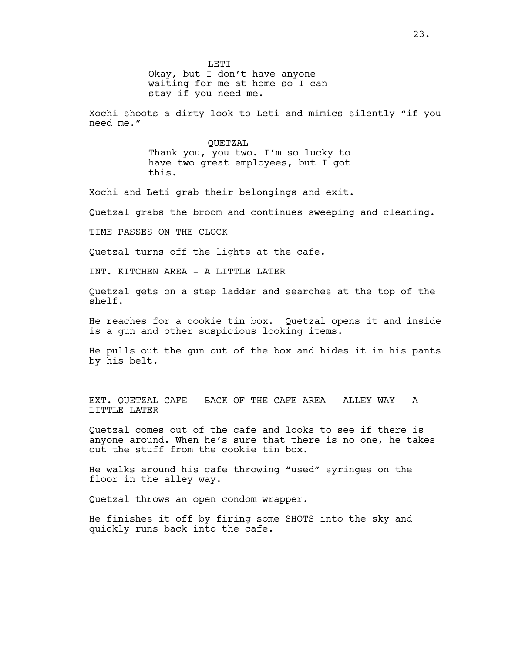**LETT** Okay, but I don't have anyone waiting for me at home so I can stay if you need me.

Xochi shoots a dirty look to Leti and mimics silently "if you need me."

> QUETZAL Thank you, you two. I'm so lucky to have two great employees, but I got this.

Xochi and Leti grab their belongings and exit.

Quetzal grabs the broom and continues sweeping and cleaning.

TIME PASSES ON THE CLOCK

Quetzal turns off the lights at the cafe.

INT. KITCHEN AREA - A LITTLE LATER

Quetzal gets on a step ladder and searches at the top of the shelf.

He reaches for a cookie tin box. Quetzal opens it and inside is a gun and other suspicious looking items.

He pulls out the gun out of the box and hides it in his pants by his belt.

EXT. QUETZAL CAFE - BACK OF THE CAFE AREA - ALLEY WAY - A LITTLE LATER

Quetzal comes out of the cafe and looks to see if there is anyone around. When he's sure that there is no one, he takes out the stuff from the cookie tin box.

He walks around his cafe throwing "used" syringes on the floor in the alley way.

Quetzal throws an open condom wrapper.

He finishes it off by firing some SHOTS into the sky and quickly runs back into the cafe.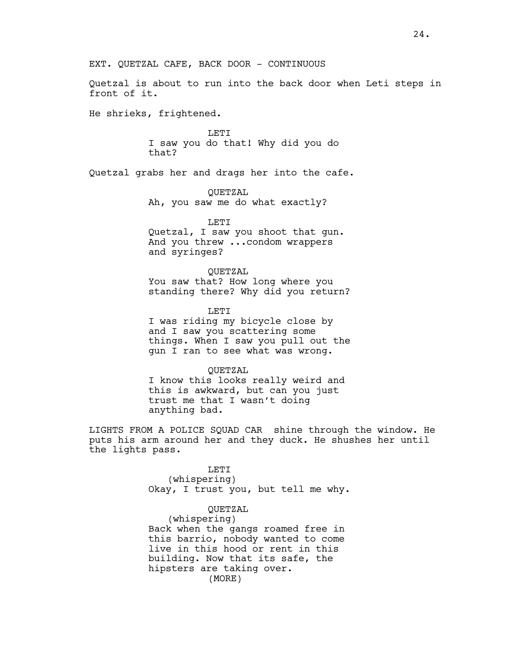Quetzal is about to run into the back door when Leti steps in front of it.

He shrieks, frightened.

LETI I saw you do that! Why did you do that?

Quetzal grabs her and drags her into the cafe.

QUETZAL Ah, you saw me do what exactly?

LETI Quetzal, I saw you shoot that gun. And you threw ...condom wrappers and syringes?

QUETZAL You saw that? How long where you standing there? Why did you return?

LETI I was riding my bicycle close by and I saw you scattering some things. When I saw you pull out the gun I ran to see what was wrong.

QUETZAL I know this looks really weird and this is awkward, but can you just trust me that I wasn't doing anything bad.

LIGHTS FROM A POLICE SQUAD CAR shine through the window. He puts his arm around her and they duck. He shushes her until the lights pass.

> LETI (whispering) Okay, I trust you, but tell me why.

QUETZAL (whispering) Back when the gangs roamed free in this barrio, nobody wanted to come live in this hood or rent in this building. Now that its safe, the hipsters are taking over. (MORE)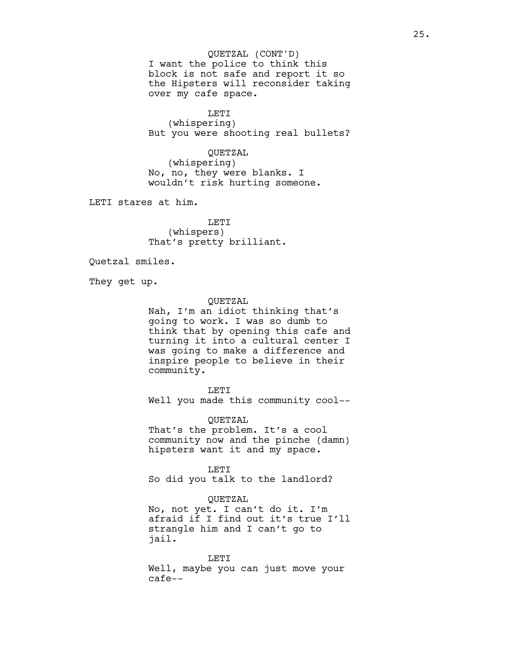I want the police to think this block is not safe and report it so the Hipsters will reconsider taking over my cafe space. QUETZAL (CONT'D)

LETI

(whispering) But you were shooting real bullets?

QUETZAL

(whispering) No, no, they were blanks. I wouldn't risk hurting someone.

LETI stares at him.

LETI (whispers) That's pretty brilliant.

Quetzal smiles.

They get up.

## QUETZAL

Nah, I'm an idiot thinking that's going to work. I was so dumb to think that by opening this cafe and turning it into a cultural center I was going to make a difference and inspire people to believe in their community.

LETI

Well you made this community cool--

QUETZAL

That's the problem. It's a cool community now and the pinche (damn) hipsters want it and my space.

LETI So did you talk to the landlord?

## QUETZAL

No, not yet. I can't do it. I'm afraid if I find out it's true I'll strangle him and I can't go to jail.

LETI Well, maybe you can just move your cafe--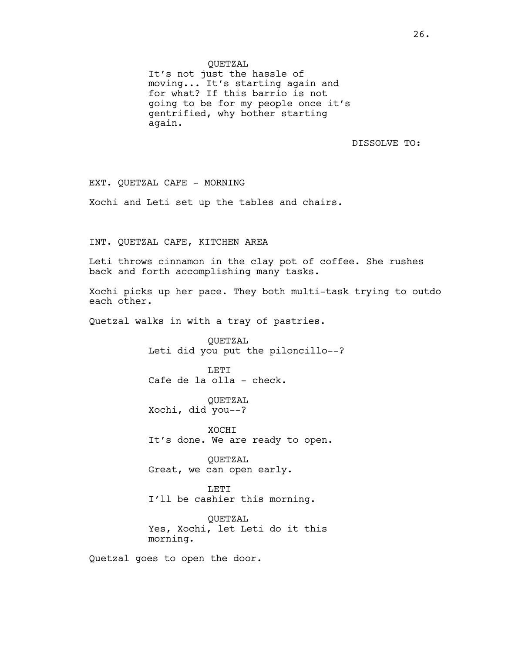QUETZAL

It's not just the hassle of moving... It's starting again and for what? If this barrio is not going to be for my people once it's gentrified, why bother starting again.

DISSOLVE TO:

EXT. QUETZAL CAFE - MORNING

Xochi and Leti set up the tables and chairs.

INT. QUETZAL CAFE, KITCHEN AREA

Leti throws cinnamon in the clay pot of coffee. She rushes back and forth accomplishing many tasks.

Xochi picks up her pace. They both multi-task trying to outdo each other.

Quetzal walks in with a tray of pastries.

QUETZAL Leti did you put the piloncillo--?

**LETT** Cafe de la olla - check.

QUETZAL Xochi, did you--?

XOCHI It's done. We are ready to open.

QUETZAL Great, we can open early.

LETI I'll be cashier this morning.

QUETZAL Yes, Xochi, let Leti do it this morning.

Quetzal goes to open the door.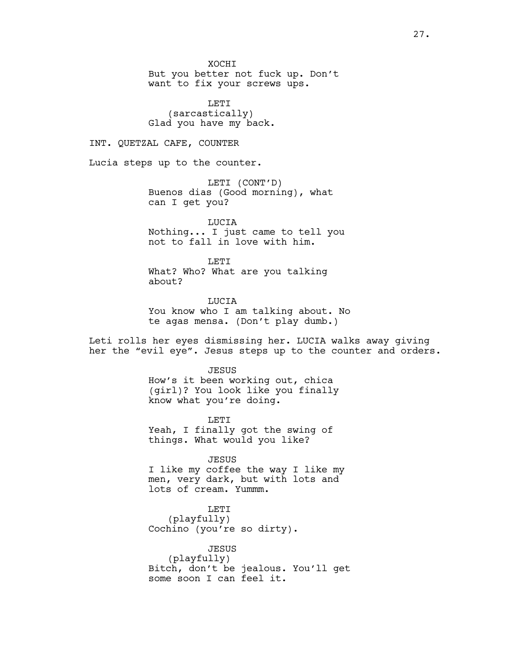**XOCHT** 

But you better not fuck up. Don't want to fix your screws ups.

LETI (sarcastically) Glad you have my back.

INT. QUETZAL CAFE, COUNTER

Lucia steps up to the counter.

LETI (CONT'D) Buenos dias (Good morning), what can I get you?

LUCIA Nothing... I just came to tell you not to fall in love with him.

T.ETT What? Who? What are you talking about?

**TJUCTA** You know who I am talking about. No te agas mensa. (Don't play dumb.)

Leti rolls her eyes dismissing her. LUCIA walks away giving her the "evil eye". Jesus steps up to the counter and orders.

> **JESUS** How's it been working out, chica (girl)? You look like you finally know what you're doing.

LETI Yeah, I finally got the swing of things. What would you like?

JESUS I like my coffee the way I like my men, very dark, but with lots and

lots of cream. Yummm.

LETI (playfully) Cochino (you're so dirty).

JESUS (playfully) Bitch, don't be jealous. You'll get some soon I can feel it.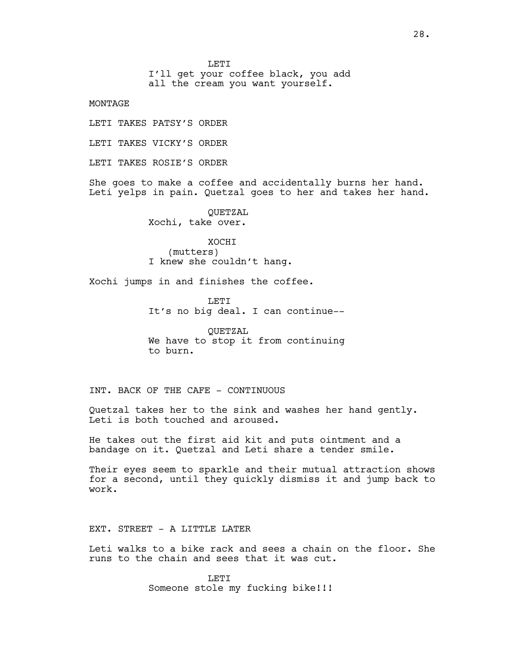**LETT** 

I'll get your coffee black, you add

all the cream you want yourself.

MONTAGE

LETI TAKES PATSY'S ORDER

LETI TAKES VICKY'S ORDER

LETI TAKES ROSIE'S ORDER

She goes to make a coffee and accidentally burns her hand. Leti yelps in pain. Quetzal goes to her and takes her hand.

> QUETZAL Xochi, take over.

XOCHI (mutters) I knew she couldn't hang.

Xochi jumps in and finishes the coffee.

**LETT** It's no big deal. I can continue--

QUETZAL We have to stop it from continuing to burn.

INT. BACK OF THE CAFE - CONTINUOUS

Quetzal takes her to the sink and washes her hand gently. Leti is both touched and aroused.

He takes out the first aid kit and puts ointment and a bandage on it. Quetzal and Leti share a tender smile.

Their eyes seem to sparkle and their mutual attraction shows for a second, until they quickly dismiss it and jump back to work.

EXT. STREET - A LITTLE LATER

Leti walks to a bike rack and sees a chain on the floor. She runs to the chain and sees that it was cut.

> **LETT** Someone stole my fucking bike!!!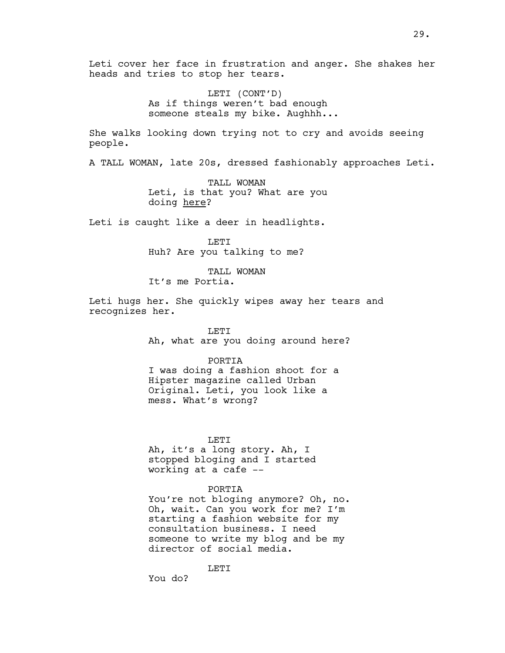Leti cover her face in frustration and anger. She shakes her heads and tries to stop her tears.

> LETI (CONT'D) As if things weren't bad enough someone steals my bike. Aughhh...

She walks looking down trying not to cry and avoids seeing people.

A TALL WOMAN, late 20s, dressed fashionably approaches Leti.

TALL WOMAN Leti, is that you? What are you doing here?

Leti is caught like a deer in headlights.

LETI Huh? Are you talking to me?

TALL WOMAN It's me Portia.

Leti hugs her. She quickly wipes away her tears and recognizes her.

> LETI Ah, what are you doing around here?

PORTIA I was doing a fashion shoot for a Hipster magazine called Urban Original. Leti, you look like a mess. What's wrong?

LETI

Ah, it's a long story. Ah, I stopped bloging and I started working at a cafe --

#### PORTIA

You're not bloging anymore? Oh, no. Oh, wait. Can you work for me? I'm starting a fashion website for my consultation business. I need someone to write my blog and be my director of social media.

LETI

You do?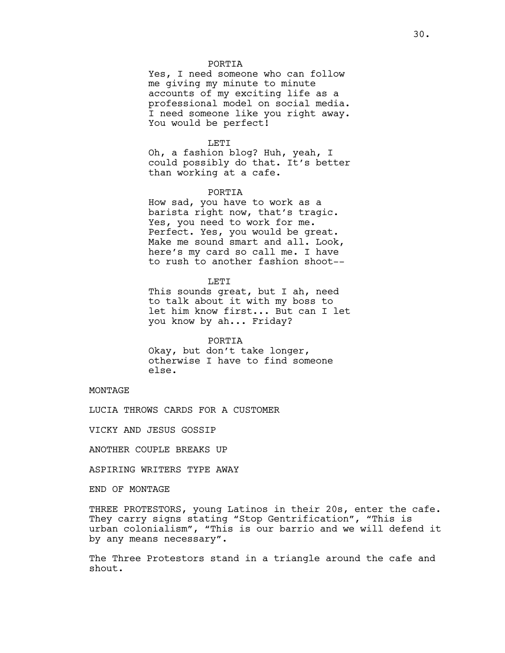## PORTIA

Yes, I need someone who can follow me giving my minute to minute accounts of my exciting life as a professional model on social media. I need someone like you right away. You would be perfect!

### LETI

Oh, a fashion blog? Huh, yeah, I could possibly do that. It's better than working at a cafe.

## PORTIA

How sad, you have to work as a barista right now, that's tragic. Yes, you need to work for me. Perfect. Yes, you would be great. Make me sound smart and all. Look, here's my card so call me. I have to rush to another fashion shoot--

**LETT** 

This sounds great, but I ah, need to talk about it with my boss to let him know first... But can I let you know by ah... Friday?

#### PORTIA

Okay, but don't take longer, otherwise I have to find someone else.

MONTAGE

LUCIA THROWS CARDS FOR A CUSTOMER

VICKY AND JESUS GOSSIP

ANOTHER COUPLE BREAKS UP

ASPIRING WRITERS TYPE AWAY

END OF MONTAGE

THREE PROTESTORS, young Latinos in their 20s, enter the cafe. They carry signs stating "Stop Gentrification", "This is urban colonialism", "This is our barrio and we will defend it by any means necessary".

The Three Protestors stand in a triangle around the cafe and shout.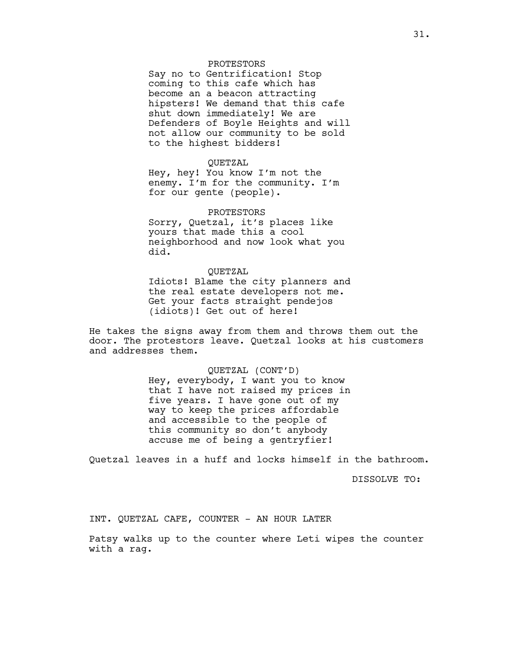## PROTESTORS

Say no to Gentrification! Stop coming to this cafe which has become an a beacon attracting hipsters! We demand that this cafe shut down immediately! We are Defenders of Boyle Heights and will not allow our community to be sold to the highest bidders!

## QUETZAL

Hey, hey! You know I'm not the enemy. I'm for the community. I'm for our gente (people).

PROTESTORS Sorry, Quetzal, it's places like yours that made this a cool neighborhood and now look what you did.

# QUETZAL Idiots! Blame the city planners and the real estate developers not me. Get your facts straight pendejos (idiots)! Get out of here!

He takes the signs away from them and throws them out the door. The protestors leave. Quetzal looks at his customers and addresses them.

> QUETZAL (CONT'D) Hey, everybody, I want you to know that I have not raised my prices in five years. I have gone out of my way to keep the prices affordable and accessible to the people of this community so don't anybody accuse me of being a gentryfier!

Quetzal leaves in a huff and locks himself in the bathroom.

DISSOLVE TO:

INT. QUETZAL CAFE, COUNTER - AN HOUR LATER

Patsy walks up to the counter where Leti wipes the counter with a rag.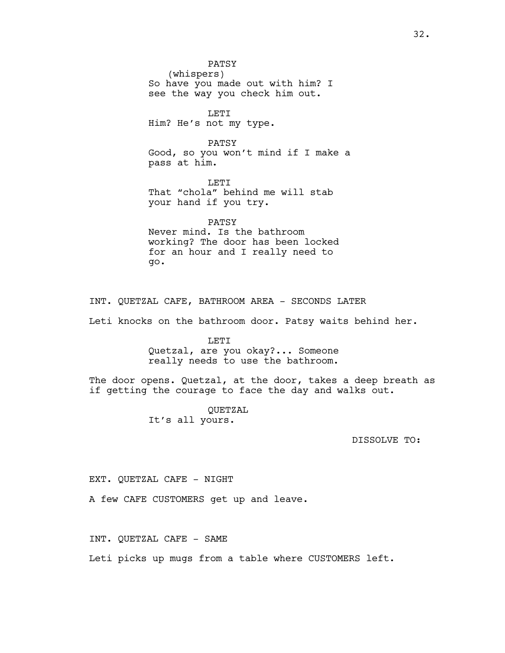PATSY (whispers) So have you made out with him? I see the way you check him out. LETI

Him? He's not my type.

PATSY Good, so you won't mind if I make a pass at him.

LETI That "chola" behind me will stab your hand if you try.

PATSY Never mind. Is the bathroom working? The door has been locked for an hour and I really need to go.

INT. QUETZAL CAFE, BATHROOM AREA - SECONDS LATER

Leti knocks on the bathroom door. Patsy waits behind her.

LETI Quetzal, are you okay?... Someone really needs to use the bathroom.

The door opens. Quetzal, at the door, takes a deep breath as if getting the courage to face the day and walks out.

> QUETZAL It's all yours.

> > DISSOLVE TO:

EXT. QUETZAL CAFE - NIGHT

A few CAFE CUSTOMERS get up and leave.

INT. QUETZAL CAFE - SAME

Leti picks up mugs from a table where CUSTOMERS left.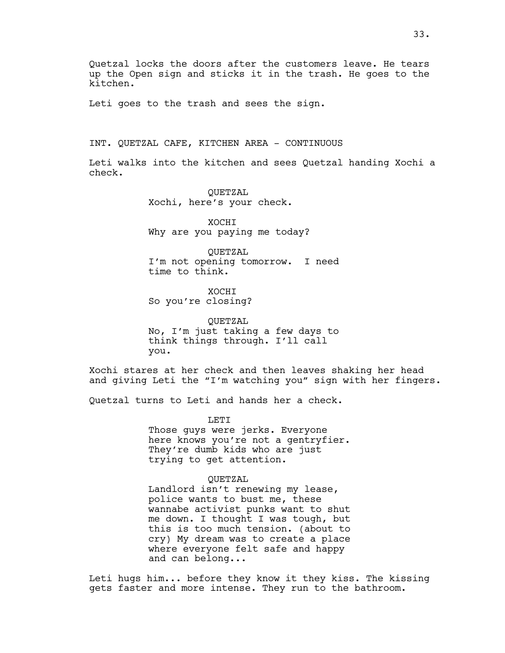Quetzal locks the doors after the customers leave. He tears up the Open sign and sticks it in the trash. He goes to the kitchen.

Leti goes to the trash and sees the sign.

INT. QUETZAL CAFE, KITCHEN AREA - CONTINUOUS

Leti walks into the kitchen and sees Quetzal handing Xochi a check.

> QUETZAL Xochi, here's your check.

XOCHI Why are you paying me today?

QUETZAL I'm not opening tomorrow. I need time to think.

XOCHI So you're closing?

QUETZAL No, I'm just taking a few days to think things through. I'll call you.

Xochi stares at her check and then leaves shaking her head and giving Leti the "I'm watching you" sign with her fingers.

Quetzal turns to Leti and hands her a check.

LETI Those guys were jerks. Everyone here knows you're not a gentryfier. They're dumb kids who are just trying to get attention.

#### QUETZAL

Landlord isn't renewing my lease, police wants to bust me, these wannabe activist punks want to shut me down. I thought I was tough, but this is too much tension. (about to cry) My dream was to create a place where everyone felt safe and happy and can belong...

Leti hugs him... before they know it they kiss. The kissing gets faster and more intense. They run to the bathroom.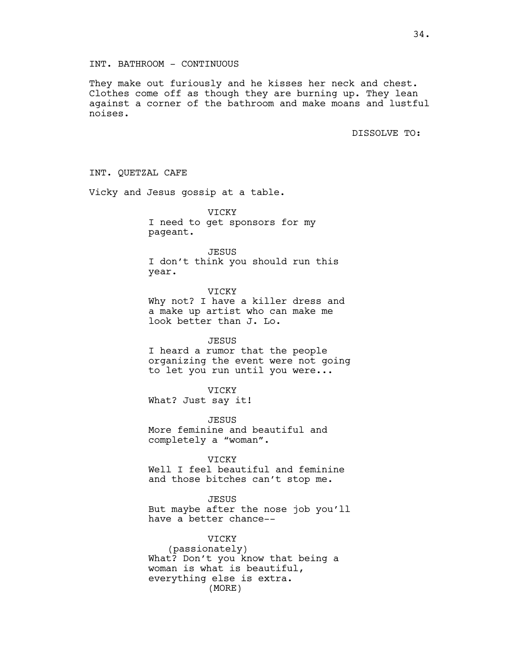# INT. BATHROOM - CONTINUOUS

They make out furiously and he kisses her neck and chest. Clothes come off as though they are burning up. They lean against a corner of the bathroom and make moans and lustful noises.

DISSOLVE TO:

INT. QUETZAL CAFE Vicky and Jesus gossip at a table. VICKY I need to get sponsors for my pageant. JESUS I don't think you should run this year. VICKY Why not? I have a killer dress and a make up artist who can make me look better than J. Lo. JESUS I heard a rumor that the people organizing the event were not going to let you run until you were... VICKY What? Just say it! JESUS More feminine and beautiful and completely a "woman". VICKY Well I feel beautiful and feminine and those bitches can't stop me. JESUS But maybe after the nose job you'll have a better chance-- VICKY (passionately) What? Don't you know that being a woman is what is beautiful, everything else is extra.

(MORE)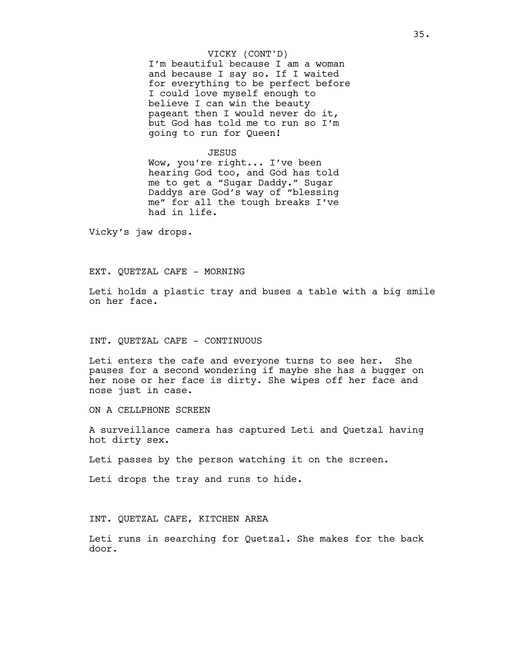### VICKY (CONT'D)

I'm beautiful because I am a woman and because I say so. If I waited for everything to be perfect before I could love myself enough to believe I can win the beauty pageant then I would never do it, but God has told me to run so I'm going to run for Queen!

## JESUS

Wow, you're right... I've been hearing God too, and God has told me to get a "Sugar Daddy." Sugar Daddys are God's way of "blessing me" for all the tough breaks I've had in life.

Vicky's jaw drops.

## EXT. QUETZAL CAFE - MORNING

Leti holds a plastic tray and buses a table with a big smile on her face.

## INT. QUETZAL CAFE - CONTINUOUS

Leti enters the cafe and everyone turns to see her. She pauses for a second wondering if maybe she has a bugger on her nose or her face is dirty. She wipes off her face and nose just in case.

ON A CELLPHONE SCREEN

A surveillance camera has captured Leti and Quetzal having hot dirty sex.

Leti passes by the person watching it on the screen.

Leti drops the tray and runs to hide.

INT. QUETZAL CAFE, KITCHEN AREA

Leti runs in searching for Quetzal. She makes for the back door.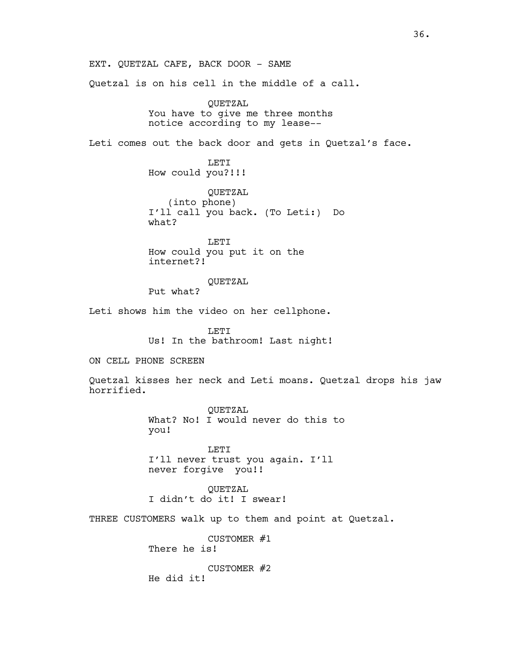EXT. QUETZAL CAFE, BACK DOOR - SAME Quetzal is on his cell in the middle of a call. QUETZAL You have to give me three months notice according to my lease-- Leti comes out the back door and gets in Quetzal's face. LETI How could you?!!! QUETZAL (into phone) I'll call you back. (To Leti:) Do what? LETI How could you put it on the internet?! QUETZAL Put what? Leti shows him the video on her cellphone. LETI Us! In the bathroom! Last night! ON CELL PHONE SCREEN Quetzal kisses her neck and Leti moans. Quetzal drops his jaw horrified. QUETZAL What? No! I would never do this to you! LETI I'll never trust you again. I'll never forgive you!! QUETZAL I didn't do it! I swear! THREE CUSTOMERS walk up to them and point at Quetzal. CUSTOMER #1 There he is! CUSTOMER #2 He did it!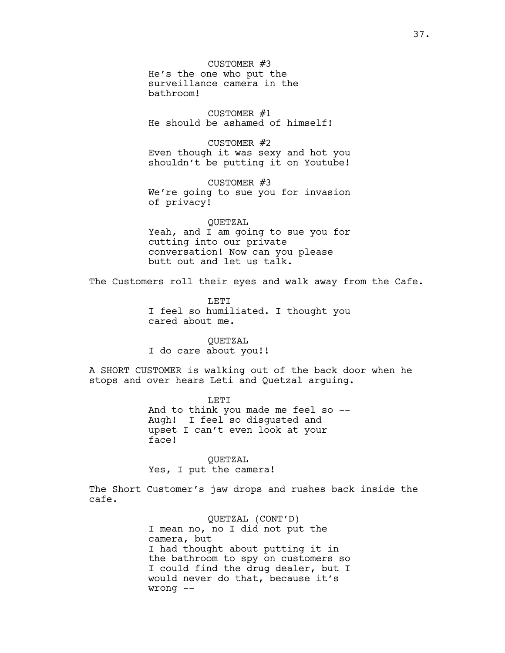CUSTOMER #3 He's the one who put the surveillance camera in the bathroom!

CUSTOMER #1 He should be ashamed of himself!

CUSTOMER #2 Even though it was sexy and hot you shouldn't be putting it on Youtube!

CUSTOMER #3 We're going to sue you for invasion of privacy!

QUETZAL Yeah, and I am going to sue you for cutting into our private conversation! Now can you please butt out and let us talk.

The Customers roll their eyes and walk away from the Cafe.

**LETT** I feel so humiliated. I thought you cared about me.

QUETZAL I do care about you!!

A SHORT CUSTOMER is walking out of the back door when he stops and over hears Leti and Quetzal arguing.

> LETI And to think you made me feel so -- Augh! I feel so disgusted and upset I can't even look at your face!

QUETZAL Yes, I put the camera!

The Short Customer's jaw drops and rushes back inside the cafe.

> QUETZAL (CONT'D) I mean no, no I did not put the camera, but I had thought about putting it in the bathroom to spy on customers so I could find the drug dealer, but I would never do that, because it's wrong --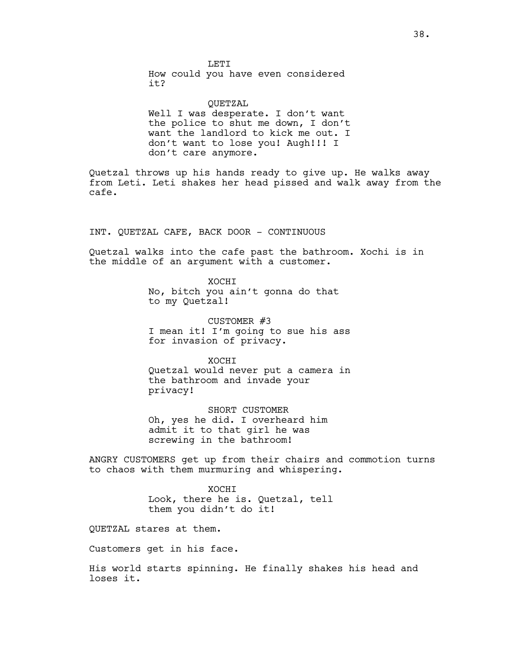**LETT** How could you have even considered it?

QUETZAL Well I was desperate. I don't want the police to shut me down, I don't want the landlord to kick me out. I don't want to lose you! Augh!!! I don't care anymore.

Quetzal throws up his hands ready to give up. He walks away from Leti. Leti shakes her head pissed and walk away from the cafe.

INT. QUETZAL CAFE, BACK DOOR - CONTINUOUS

Quetzal walks into the cafe past the bathroom. Xochi is in the middle of an argument with a customer.

> XOCHI No, bitch you ain't gonna do that to my Quetzal!

CUSTOMER #3 I mean it! I'm going to sue his ass for invasion of privacy.

XOCHI Quetzal would never put a camera in the bathroom and invade your privacy!

SHORT CUSTOMER Oh, yes he did. I overheard him admit it to that girl he was screwing in the bathroom!

ANGRY CUSTOMERS get up from their chairs and commotion turns to chaos with them murmuring and whispering.

> XOCHI Look, there he is. Quetzal, tell them you didn't do it!

QUETZAL stares at them.

Customers get in his face.

His world starts spinning. He finally shakes his head and loses it.